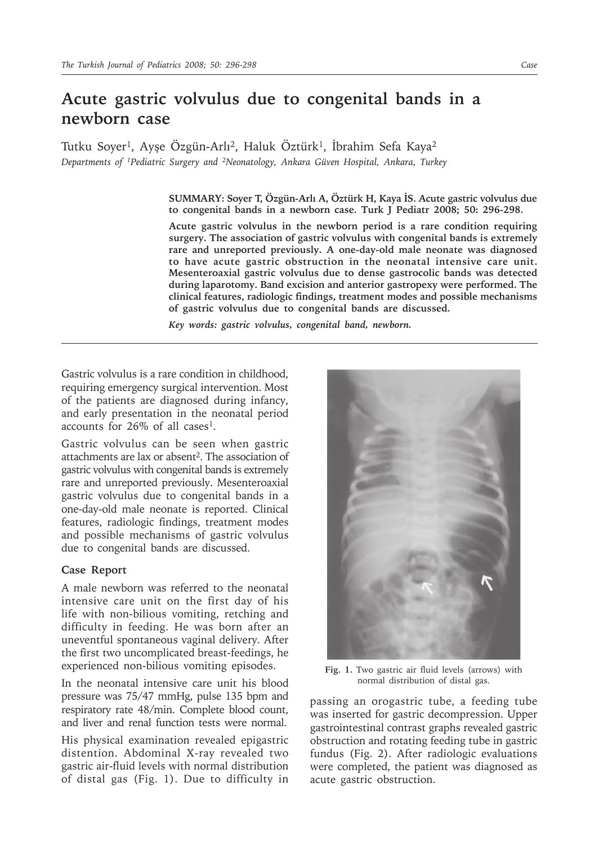## **Acute gastric volvulus due to congenital bands in a newborn case**

Tutku Soyer<sup>1</sup>, Ayşe Özgün-Arlı<sup>2</sup>, Haluk Öztürk<sup>1</sup>, İbrahim Sefa Kaya<sup>2</sup> *Departments of 1Pediatric Surgery and 2Neonatology, Ankara Güven Hospital, Ankara, Turkey*

> **SUMMARY: Soyer T, Özgün-Arlı A, Öztürk H, Kaya İS. Acute gastric volvulus due to congenital bands in a newborn case. Turk J Pediatr 2008; 50: 296-298.**

> **Acute gastric volvulus in the newborn period is a rare condition requiring surgery. The association of gastric volvulus with congenital bands is extremely rare and unreported previously. A one-day-old male neonate was diagnosed to have acute gastric obstruction in the neonatal intensive care unit. Mesenteroaxial gastric volvulus due to dense gastrocolic bands was detected during laparotomy. Band excision and anterior gastropexy were performed. The clinical features, radiologic findings, treatment modes and possible mechanisms of gastric volvulus due to congenital bands are discussed.**

*Key words: gastric volvulus, congenital band, newborn.*

Gastric volvulus is a rare condition in childhood, requiring emergency surgical intervention. Most of the patients are diagnosed during infancy, and early presentation in the neonatal period accounts for 26% of all cases1.

Gastric volvulus can be seen when gastric attachments are lax or absent<sup>2</sup>. The association of gastric volvulus with congenital bands is extremely rare and unreported previously. Mesenteroaxial gastric volvulus due to congenital bands in a one-day-old male neonate is reported. Clinical features, radiologic findings, treatment modes and possible mechanisms of gastric volvulus due to congenital bands are discussed.

## **Case Report**

A male newborn was referred to the neonatal intensive care unit on the first day of his life with non-bilious vomiting, retching and difficulty in feeding. He was born after an uneventful spontaneous vaginal delivery. After the first two uncomplicated breast-feedings, he experienced non-bilious vomiting episodes.

In the neonatal intensive care unit his blood pressure was 75/47 mmHg, pulse 135 bpm and respiratory rate 48/min. Complete blood count, and liver and renal function tests were normal.

His physical examination revealed epigastric distention. Abdominal X-ray revealed two gastric air-fluid levels with normal distribution of distal gas (Fig. 1). Due to difficulty in



**Fig. 1.** Two gastric air fluid levels (arrows) with normal distribution of distal gas.

passing an orogastric tube, a feeding tube was inserted for gastric decompression. Upper gastrointestinal contrast graphs revealed gastric obstruction and rotating feeding tube in gastric fundus (Fig. 2). After radiologic evaluations were completed, the patient was diagnosed as acute gastric obstruction.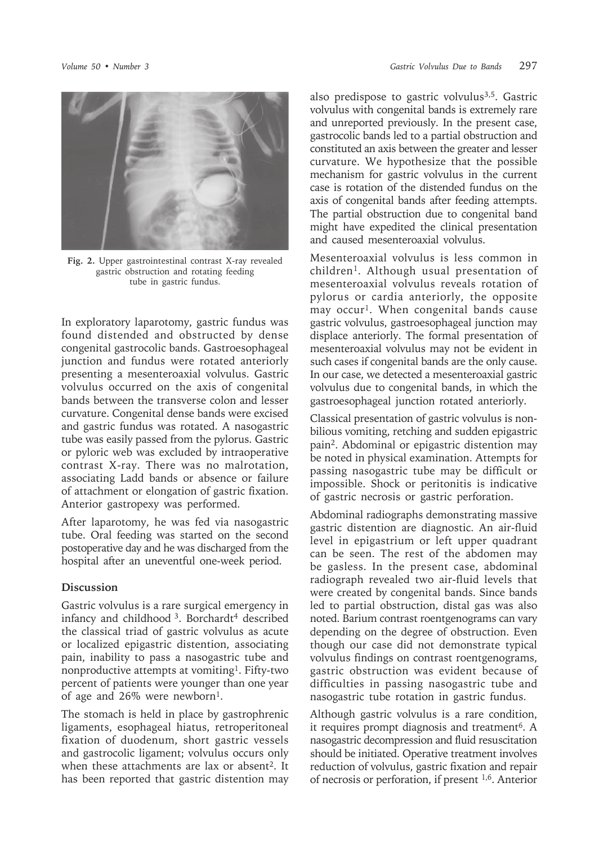

**Fig. 2.** Upper gastrointestinal contrast X-ray revealed gastric obstruction and rotating feeding tube in gastric fundus.

In exploratory laparotomy, gastric fundus was found distended and obstructed by dense congenital gastrocolic bands. Gastroesophageal junction and fundus were rotated anteriorly presenting a mesenteroaxial volvulus. Gastric volvulus occurred on the axis of congenital bands between the transverse colon and lesser curvature. Congenital dense bands were excised and gastric fundus was rotated. A nasogastric tube was easily passed from the pylorus. Gastric or pyloric web was excluded by intraoperative contrast X-ray. There was no malrotation, associating Ladd bands or absence or failure of attachment or elongation of gastric fixation. Anterior gastropexy was performed.

After laparotomy, he was fed via nasogastric tube. Oral feeding was started on the second postoperative day and he was discharged from the hospital after an uneventful one-week period.

## **Discussion**

Gastric volvulus is a rare surgical emergency in infancy and childhood <sup>3</sup>. Borchardt<sup>4</sup> described the classical triad of gastric volvulus as acute or localized epigastric distention, associating pain, inability to pass a nasogastric tube and nonproductive attempts at vomiting<sup>1</sup>. Fifty-two percent of patients were younger than one year of age and 26% were newborn<sup>1</sup>.

The stomach is held in place by gastrophrenic ligaments, esophageal hiatus, retroperitoneal fixation of duodenum, short gastric vessels and gastrocolic ligament; volvulus occurs only when these attachments are lax or absent<sup>2</sup>. It has been reported that gastric distention may

also predispose to gastric volvulus<sup>3,5</sup>. Gastric volvulus with congenital bands is extremely rare and unreported previously. In the present case, gastrocolic bands led to a partial obstruction and constituted an axis between the greater and lesser curvature. We hypothesize that the possible mechanism for gastric volvulus in the current case is rotation of the distended fundus on the axis of congenital bands after feeding attempts. The partial obstruction due to congenital band might have expedited the clinical presentation and caused mesenteroaxial volvulus.

Mesenteroaxial volvulus is less common in children1. Although usual presentation of mesenteroaxial volvulus reveals rotation of pylorus or cardia anteriorly, the opposite may occur<sup>1</sup>. When congenital bands cause gastric volvulus, gastroesophageal junction may displace anteriorly. The formal presentation of mesenteroaxial volvulus may not be evident in such cases if congenital bands are the only cause. In our case, we detected a mesenteroaxial gastric volvulus due to congenital bands, in which the gastroesophageal junction rotated anteriorly.

Classical presentation of gastric volvulus is nonbilious vomiting, retching and sudden epigastric pain2. Abdominal or epigastric distention may be noted in physical examination. Attempts for passing nasogastric tube may be difficult or impossible. Shock or peritonitis is indicative of gastric necrosis or gastric perforation.

Abdominal radiographs demonstrating massive gastric distention are diagnostic. An air-fluid level in epigastrium or left upper quadrant can be seen. The rest of the abdomen may be gasless. In the present case, abdominal radiograph revealed two air-fluid levels that were created by congenital bands. Since bands led to partial obstruction, distal gas was also noted. Barium contrast roentgenograms can vary depending on the degree of obstruction. Even though our case did not demonstrate typical volvulus findings on contrast roentgenograms, gastric obstruction was evident because of difficulties in passing nasogastric tube and nasogastric tube rotation in gastric fundus.

Although gastric volvulus is a rare condition, it requires prompt diagnosis and treatment<sup>6</sup>. A nasogastric decompression and fluid resuscitation should be initiated. Operative treatment involves reduction of volvulus, gastric fixation and repair of necrosis or perforation, if present 1,6. Anterior